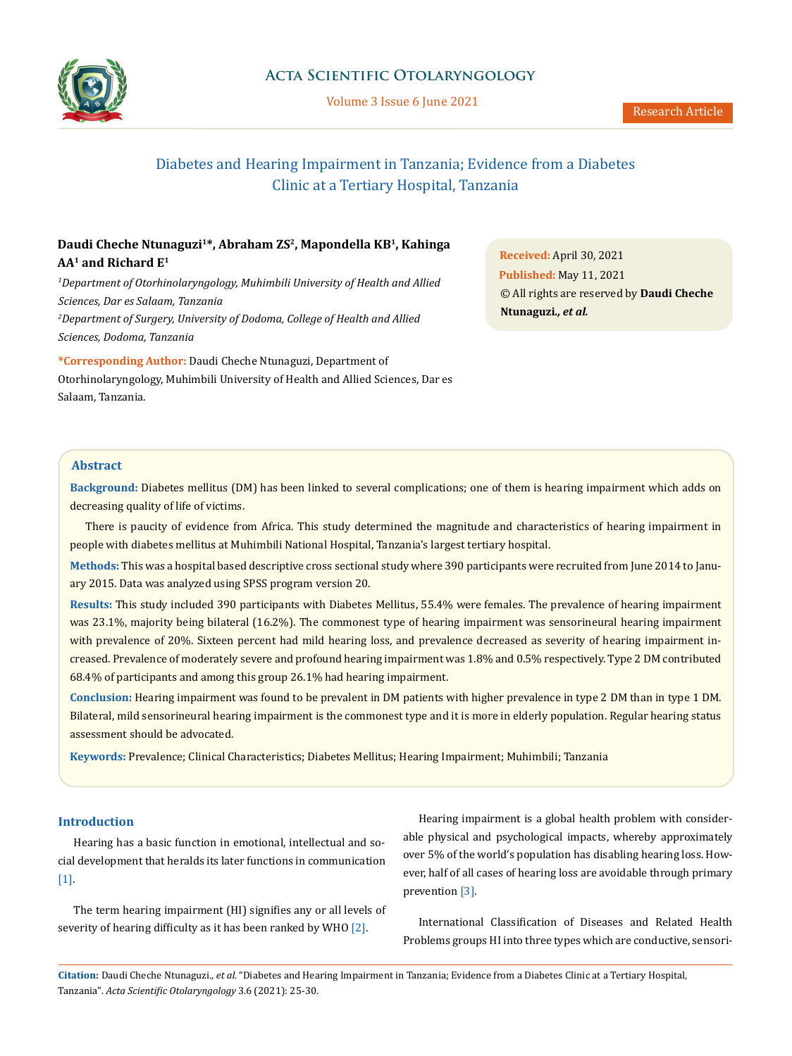

# **Acta Scientific Otolaryngology**

Volume 3 Issue 6 June 2021

# Diabetes and Hearing Impairment in Tanzania; Evidence from a Diabetes Clinic at a Tertiary Hospital, Tanzania

# **Daudi Cheche Ntunaguzi1\*, Abraham ZS2, Mapondella KB1, Kahinga AA1 and Richard E1**

<sup>1</sup>Department of Otorhinolaryngology, Muhimbili University of Health and Allied *Sciences, Dar es Salaam, Tanzania 2 Department of Surgery, University of Dodoma, College of Health and Allied Sciences, Dodoma, Tanzania*

**\*Corresponding Author:** Daudi Cheche Ntunaguzi, Department of Otorhinolaryngology, Muhimbili University of Health and Allied Sciences, Dar es Salaam, Tanzania.

**Received:** April 30, 2021 **Published:** May 11, 2021 © All rights are reserved by **Daudi Cheche Ntunaguzi***., et al.*

# **Abstract**

**Background:** Diabetes mellitus (DM) has been linked to several complications; one of them is hearing impairment which adds on decreasing quality of life of victims.

There is paucity of evidence from Africa. This study determined the magnitude and characteristics of hearing impairment in people with diabetes mellitus at Muhimbili National Hospital, Tanzania's largest tertiary hospital.

**Methods:** This was a hospital based descriptive cross sectional study where 390 participants were recruited from June 2014 to January 2015. Data was analyzed using SPSS program version 20.

**Results:** This study included 390 participants with Diabetes Mellitus, 55.4% were females. The prevalence of hearing impairment was 23.1%, majority being bilateral (16.2%). The commonest type of hearing impairment was sensorineural hearing impairment with prevalence of 20%. Sixteen percent had mild hearing loss, and prevalence decreased as severity of hearing impairment increased. Prevalence of moderately severe and profound hearing impairment was 1.8% and 0.5% respectively. Type 2 DM contributed 68.4% of participants and among this group 26.1% had hearing impairment.

**Conclusion:** Hearing impairment was found to be prevalent in DM patients with higher prevalence in type 2 DM than in type 1 DM. Bilateral, mild sensorineural hearing impairment is the commonest type and it is more in elderly population. Regular hearing status assessment should be advocated.

**Keywords:** Prevalence; Clinical Characteristics; Diabetes Mellitus; Hearing Impairment; Muhimbili; Tanzania

# **Introduction**

Hearing has a basic function in emotional, intellectual and social development that heralds its later functions in communication [1].

The term hearing impairment (HI) signifies any or all levels of severity of hearing difficulty as it has been ranked by WHO [2].

Hearing impairment is a global health problem with considerable physical and psychological impacts, whereby approximately over 5% of the world's population has disabling hearing loss. However, half of all cases of hearing loss are avoidable through primary prevention [3].

International Classification of Diseases and Related Health Problems groups HI into three types which are conductive, sensori-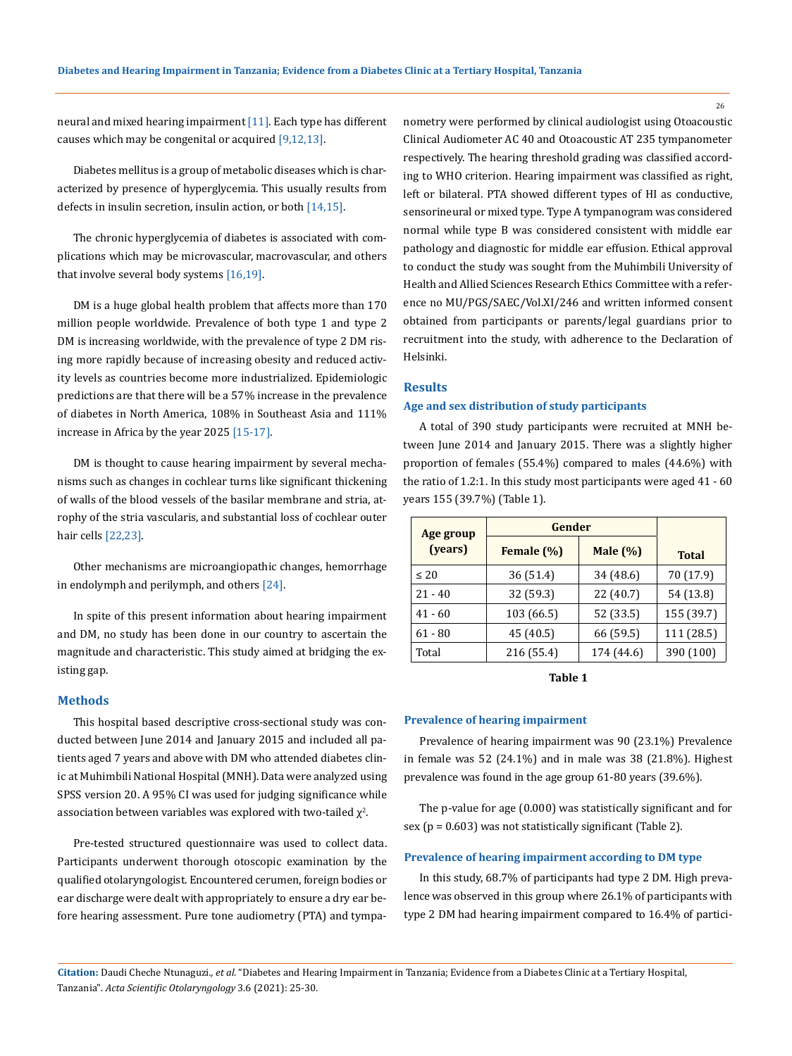neural and mixed hearing impairment [11]. Each type has different causes which may be congenital or acquired [9,12,13].

Diabetes mellitus is a group of metabolic diseases which is characterized by presence of hyperglycemia. This usually results from defects in insulin secretion, insulin action, or both [14,15].

The chronic hyperglycemia of diabetes is associated with complications which may be microvascular, macrovascular, and others that involve several body systems [16,19].

DM is a huge global health problem that affects more than 170 million people worldwide. Prevalence of both type 1 and type 2 DM is increasing worldwide, with the prevalence of type 2 DM rising more rapidly because of increasing obesity and reduced activity levels as countries become more industrialized. Epidemiologic predictions are that there will be a 57% increase in the prevalence of diabetes in North America, 108% in Southeast Asia and 111% increase in Africa by the year 2025 [15-17].

DM is thought to cause hearing impairment by several mechanisms such as changes in cochlear turns like significant thickening of walls of the blood vessels of the basilar membrane and stria, atrophy of the stria vascularis, and substantial loss of cochlear outer hair cells [22,23].

Other mechanisms are microangiopathic changes, hemorrhage in endolymph and perilymph, and others [24].

In spite of this present information about hearing impairment and DM, no study has been done in our country to ascertain the magnitude and characteristic. This study aimed at bridging the existing gap.

### **Methods**

This hospital based descriptive cross-sectional study was conducted between June 2014 and January 2015 and included all patients aged 7 years and above with DM who attended diabetes clinic at Muhimbili National Hospital (MNH). Data were analyzed using SPSS version 20. A 95% CI was used for judging significance while association between variables was explored with two-tailed  $\chi^2$ .

Pre-tested structured questionnaire was used to collect data. Participants underwent thorough otoscopic examination by the qualified otolaryngologist. Encountered cerumen, foreign bodies or ear discharge were dealt with appropriately to ensure a dry ear before hearing assessment. Pure tone audiometry (PTA) and tympanometry were performed by clinical audiologist using Otoacoustic Clinical Audiometer AC 40 and Otoacoustic AT 235 tympanometer respectively. The hearing threshold grading was classified according to WHO criterion. Hearing impairment was classified as right, left or bilateral. PTA showed different types of HI as conductive, sensorineural or mixed type. Type A tympanogram was considered normal while type B was considered consistent with middle ear pathology and diagnostic for middle ear effusion. Ethical approval to conduct the study was sought from the Muhimbili University of Health and Allied Sciences Research Ethics Committee with a reference no MU/PGS/SAEC/Vol.XI/246 and written informed consent obtained from participants or parents/legal guardians prior to recruitment into the study, with adherence to the Declaration of Helsinki.

### **Results**

### **Age and sex distribution of study participants**

A total of 390 study participants were recruited at MNH between June 2014 and January 2015. There was a slightly higher proportion of females (55.4%) compared to males (44.6%) with the ratio of 1.2:1. In this study most participants were aged 41 - 60 years 155 (39.7%) (Table 1).

| Age group | Gender     |             |              |  |
|-----------|------------|-------------|--------------|--|
| (years)   | Female (%) | Male $(\%)$ | <b>Total</b> |  |
| $\leq 20$ | 36(51.4)   | 34 (48.6)   | 70 (17.9)    |  |
| $21 - 40$ | 32 (59.3)  | 22 (40.7)   | 54 (13.8)    |  |
| $41 - 60$ | 103 (66.5) | 52 (33.5)   | 155 (39.7)   |  |
| $61 - 80$ | 45 (40.5)  | 66 (59.5)   | 111 (28.5)   |  |
| Total     | 216 (55.4) | 174 (44.6)  | 390 (100)    |  |

#### **Table 1**

#### **Prevalence of hearing impairment**

Prevalence of hearing impairment was 90 (23.1%) Prevalence in female was 52 (24.1%) and in male was 38 (21.8%). Highest prevalence was found in the age group 61-80 years (39.6%).

The p-value for age (0.000) was statistically significant and for sex ( $p = 0.603$ ) was not statistically significant (Table 2).

### **Prevalence of hearing impairment according to DM type**

In this study, 68.7% of participants had type 2 DM. High prevalence was observed in this group where 26.1% of participants with type 2 DM had hearing impairment compared to 16.4% of partici-

**Citation:** Daudi Cheche Ntunaguzi*., et al.* "Diabetes and Hearing Impairment in Tanzania; Evidence from a Diabetes Clinic at a Tertiary Hospital, Tanzania". *Acta Scientific Otolaryngology* 3.6 (2021): 25-30.

26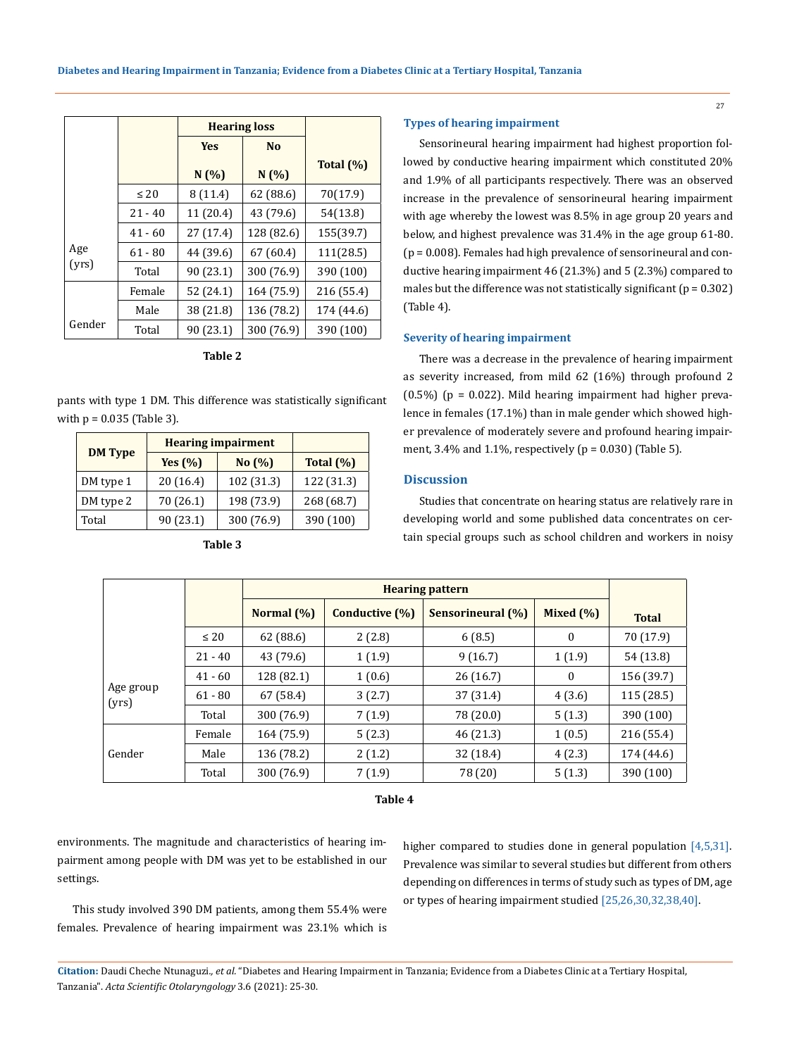|              |           | <b>Hearing loss</b> |                |              |
|--------------|-----------|---------------------|----------------|--------------|
|              |           | <b>Yes</b>          | N <sub>0</sub> |              |
|              |           | N(%)                | N(%)           | Total $(\%)$ |
|              | $\leq 20$ | 8(11.4)             | 62(88.6)       | 70(17.9)     |
|              | $21 - 40$ | 11 (20.4)           | 43 (79.6)      | 54(13.8)     |
| Age<br>(yrs) | $41 - 60$ | 27(17.4)            | 128 (82.6)     | 155(39.7)    |
|              | $61 - 80$ | 44 (39.6)           | 67(60.4)       | 111(28.5)    |
|              | Total     | 90 (23.1)           | 300 (76.9)     | 390 (100)    |
|              | Female    | 52 (24.1)           | 164 (75.9)     | 216 (55.4)   |
|              | Male      | 38 (21.8)           | 136 (78.2)     | 174 (44.6)   |
| Gender       | Total     | 90 (23.1)           | 300 (76.9)     | 390 (100)    |

**Table 2**

# pants with type 1 DM. This difference was statistically significant with  $p = 0.035$  (Table 3).

|                | <b>Hearing impairment</b> |            |              |
|----------------|---------------------------|------------|--------------|
| <b>DM Type</b> | Yes $(\% )$               | No (%)     | Total $(\%)$ |
| DM type 1      | 20(16.4)                  | 102 (31.3) | 122 (31.3)   |
| DM type 2      | 70 (26.1)                 | 198 (73.9) | 268 (68.7)   |
| Total          | 90 (23.1)                 | 300 (76.9) | 390 (100)    |

**Table 3**

## **Types of hearing impairment**

Sensorineural hearing impairment had highest proportion followed by conductive hearing impairment which constituted 20% and 1.9% of all participants respectively. There was an observed increase in the prevalence of sensorineural hearing impairment with age whereby the lowest was 8.5% in age group 20 years and below, and highest prevalence was 31.4% in the age group 61-80. (p = 0.008). Females had high prevalence of sensorineural and conductive hearing impairment 46 (21.3%) and 5 (2.3%) compared to males but the difference was not statistically significant ( $p = 0.302$ ) (Table 4).

# **Severity of hearing impairment**

There was a decrease in the prevalence of hearing impairment as severity increased, from mild 62 (16%) through profound 2  $(0.5\%)$  (p = 0.022). Mild hearing impairment had higher prevalence in females (17.1%) than in male gender which showed higher prevalence of moderately severe and profound hearing impairment,  $3.4\%$  and  $1.1\%$ , respectively ( $p = 0.030$ ) (Table 5).

# **Discussion**

Studies that concentrate on hearing status are relatively rare in developing world and some published data concentrates on certain special groups such as school children and workers in noisy

|                    |           | <b>Hearing pattern</b> |                |                          |              |              |
|--------------------|-----------|------------------------|----------------|--------------------------|--------------|--------------|
|                    |           | Normal $(\%)$          | Conductive (%) | <b>Sensorineural</b> (%) | Mixed $(\%)$ | <b>Total</b> |
|                    | $\leq 20$ | 62(88.6)               | 2(2.8)         | 6(8.5)                   | $\mathbf{0}$ | 70 (17.9)    |
|                    | $21 - 40$ | 43 (79.6)              | 1(1.9)         | 9(16.7)                  | 1(1.9)       | 54 (13.8)    |
| Age group<br>(yrs) | $41 - 60$ | 128 (82.1)             | 1(0.6)         | 26 (16.7)                | $\bf{0}$     | 156 (39.7)   |
|                    | $61 - 80$ | 67 (58.4)              | 3(2.7)         | 37 (31.4)                | 4(3.6)       | 115 (28.5)   |
|                    | Total     | 300 (76.9)             | 7(1.9)         | 78 (20.0)                | 5(1.3)       | 390 (100)    |
| Gender             | Female    | 164 (75.9)             | 5(2.3)         | 46 (21.3)                | 1(0.5)       | 216 (55.4)   |
|                    | Male      | 136 (78.2)             | 2(1.2)         | 32 (18.4)                | 4(2.3)       | 174 (44.6)   |
|                    | Total     | 300 (76.9)             | 7(1.9)         | 78 (20)                  | 5(1.3)       | 390 (100)    |

**Table 4**

environments. The magnitude and characteristics of hearing impairment among people with DM was yet to be established in our settings.

higher compared to studies done in general population [4,5,31]. Prevalence was similar to several studies but different from others depending on differences in terms of study such as types of DM, age or types of hearing impairment studied [25,26,30,32,38,40].

This study involved 390 DM patients, among them 55.4% were females. Prevalence of hearing impairment was 23.1% which is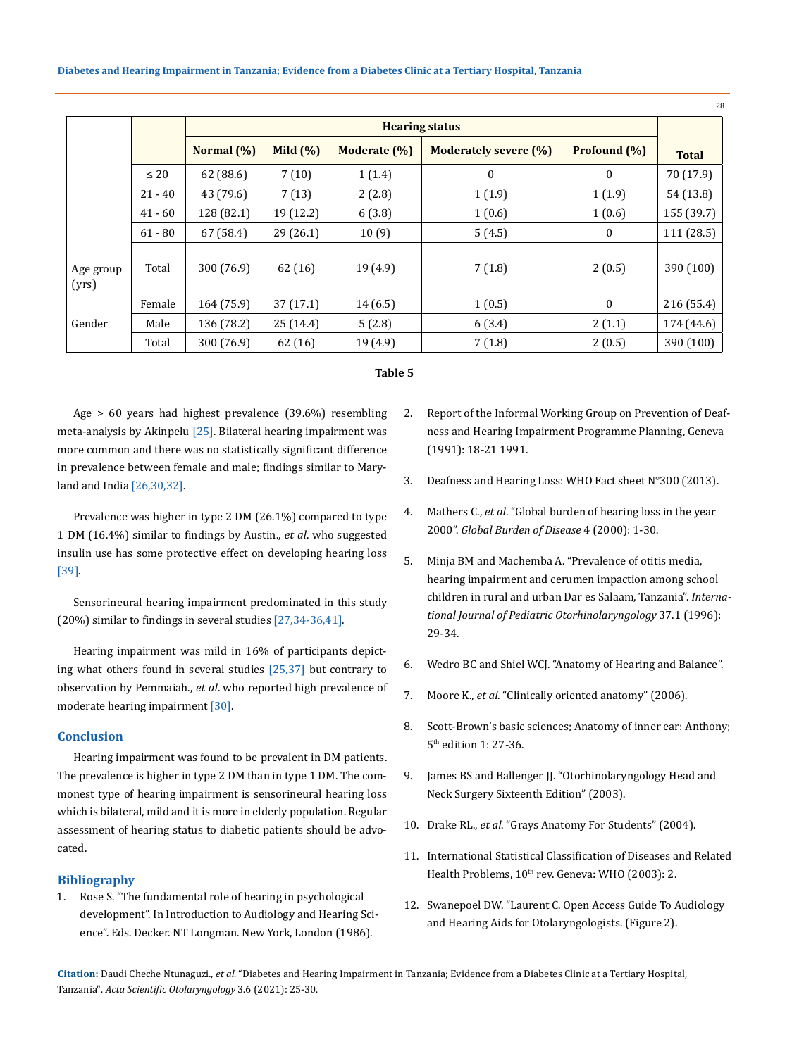|                    |           |                       |            |              |                              | -28          |              |
|--------------------|-----------|-----------------------|------------|--------------|------------------------------|--------------|--------------|
|                    |           | <b>Hearing status</b> |            |              |                              |              |              |
|                    |           | Normal (%)            | Mild $(%)$ | Moderate (%) | <b>Moderately severe (%)</b> | Profound (%) | <b>Total</b> |
|                    | $\leq 20$ | 62(88.6)              | 7(10)      | 1(1.4)       | 0                            | $\mathbf{0}$ | 70 (17.9)    |
|                    | $21 - 40$ | 43 (79.6)             | 7(13)      | 2(2.8)       | 1(1.9)                       | 1(1.9)       | 54 (13.8)    |
|                    | $41 - 60$ | 128 (82.1)            | 19 (12.2)  | 6(3.8)       | 1(0.6)                       | 1(0.6)       | 155 (39.7)   |
|                    | $61 - 80$ | 67 (58.4)             | 29 (26.1)  | 10(9)        | 5(4.5)                       | $\bf{0}$     | 111 (28.5)   |
| Age group<br>(yrs) | Total     | 300 (76.9)            | 62(16)     | 19(4.9)      | 7(1.8)                       | 2(0.5)       | 390 (100)    |
| Gender             | Female    | 164 (75.9)            | 37(17.1)   | 14(6.5)      | 1(0.5)                       | $\theta$     | 216 (55.4)   |
|                    | Male      | 136 (78.2)            | 25(14.4)   | 5(2.8)       | 6(3.4)                       | 2(1.1)       | 174 (44.6)   |
|                    | Total     | 300 (76.9)            | 62 (16)    | 19 (4.9)     | 7(1.8)                       | 2(0.5)       | 390 (100)    |

# **Table 5**

Age > 60 years had highest prevalence (39.6%) resembling meta-analysis by Akinpelu [25]. Bilateral hearing impairment was more common and there was no statistically significant difference in prevalence between female and male; findings similar to Maryland and India [26,30,32].

Prevalence was higher in type 2 DM (26.1%) compared to type 1 DM (16.4%) similar to findings by Austin., *et al*. who suggested insulin use has some protective effect on developing hearing loss [39].

Sensorineural hearing impairment predominated in this study (20%) similar to findings in several studies [27,34-36,41].

Hearing impairment was mild in 16% of participants depicting what others found in several studies [25,37] but contrary to observation by Pemmaiah., *et al*. who reported high prevalence of moderate hearing impairment [30].

# **Conclusion**

Hearing impairment was found to be prevalent in DM patients. The prevalence is higher in type 2 DM than in type 1 DM. The commonest type of hearing impairment is sensorineural hearing loss which is bilateral, mild and it is more in elderly population. Regular assessment of hearing status to diabetic patients should be advocated.

## **Bibliography**

1. Rose S. "The fundamental role of hearing in psychological development". In Introduction to Audiology and Hearing Science". Eds. Decker. NT Longman. New York, London (1986).

- 2. [Report of the Informal Working Group on Prevention of Deaf](https://apps.who.int/iris/handle/10665/58839)[ness and Hearing Impairment Programme Planning, Geneva](https://apps.who.int/iris/handle/10665/58839)  [\(1991\): 18-21 1991.](https://apps.who.int/iris/handle/10665/58839)
- 3. [Deafness and Hearing Loss: WHO Fact sheet N°300 \(2013\).](https://www.who.int/news-room/fact-sheets/detail/deafness-and-hearing-loss)
- 4. Mathers C., *et al*[. "Global burden of hearing loss in the year](https://www.who.int/bulletin/volumes/92/5/13-128728/en/)  2000". *[Global Burden of Disease](https://www.who.int/bulletin/volumes/92/5/13-128728/en/)* 4 (2000): 1-30.
- 5. [Minja BM and Machemba A. "Prevalence of otitis media,](https://www.sciencedirect.com/science/article/abs/pii/0165587696013638)  [hearing impairment and cerumen impaction among school](https://www.sciencedirect.com/science/article/abs/pii/0165587696013638)  [children in rural and urban Dar es Salaam, Tanzania".](https://www.sciencedirect.com/science/article/abs/pii/0165587696013638) *Interna[tional Journal of Pediatric Otorhinolaryngology](https://www.sciencedirect.com/science/article/abs/pii/0165587696013638)* 37.1 (1996): [29-34.](https://www.sciencedirect.com/science/article/abs/pii/0165587696013638)
- 6. Wedro BC and Shiel WCJ. "Anatomy of Hearing and Balance".
- 7. Moore K., *et al*. "Clinically oriented anatomy" (2006).
- 8. Scott-Brown's basic sciences; Anatomy of inner ear: Anthony; 5th edition 1: 27-36.
- 9. James BS and Ballenger JJ. "Otorhinolaryngology Head and Neck Surgery Sixteenth Edition" (2003).
- 10. Drake RL., *et al*. "Grays Anatomy For Students" (2004).
- 11. International Statistical Classification of Diseases and Related Health Problems, 10<sup>th</sup> rev. Geneva: WHO (2003): 2.
- 12. Swanepoel DW. "Laurent C. Open Access Guide To Audiology and Hearing Aids for Otolaryngologists. (Figure 2).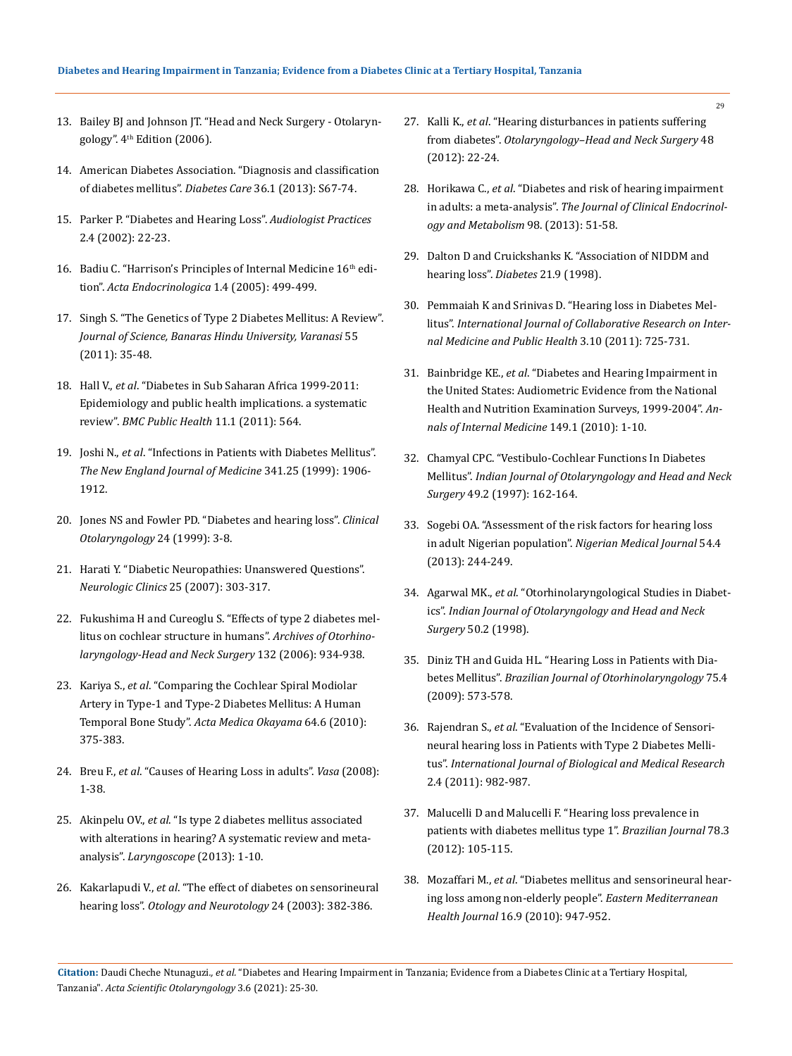- 13. Bailey BJ and Johnson JT. "Head and Neck Surgery Otolaryngology". 4<sup>th</sup> Edition (2006).
- 14. [American Diabetes Association. "Diagnosis and classification](https://care.diabetesjournals.org/content/37/Supplement_1/S81)  [of diabetes mellitus".](https://care.diabetesjournals.org/content/37/Supplement_1/S81) *Diabetes Care* 36.1 (2013): S67-74.
- 15. [Parker P. "Diabetes and Hearing Loss".](https://www.healthline.com/health/type-2-diabetes/hearing-loss) *Audiologist Practices*  [2.4 \(2002\): 22-23.](https://www.healthline.com/health/type-2-diabetes/hearing-loss)
- 16. Badiu C. "Harrison's Principles of Internal Medicine 16<sup>th</sup> edition". *[Acta Endocrinologica](https://n.neurology.org/content/64/8/1488)* 1.4 (2005): 499-499.
- 17. [Singh S. "The Genetics of Type 2 Diabetes Mellitus: A Review".](https://www.ncbi.nlm.nih.gov/pmc/articles/PMC1892523/)  *[Journal of Science, Banaras Hindu University, Varanasi](https://www.ncbi.nlm.nih.gov/pmc/articles/PMC1892523/)* 55 [\(2011\): 35-48.](https://www.ncbi.nlm.nih.gov/pmc/articles/PMC1892523/)
- 18. Hall V., *et al*[. "Diabetes in Sub Saharan Africa 1999-2011:](https://pubmed.ncbi.nlm.nih.gov/21756350/)  [Epidemiology and public health implications. a systematic](https://pubmed.ncbi.nlm.nih.gov/21756350/)  review". *[BMC Public Health](https://pubmed.ncbi.nlm.nih.gov/21756350/)* 11.1 (2011): 564.
- 19. Joshi N., *et al*[. "Infections in Patients with Diabetes Mellitus".](https://www.ncbi.nlm.nih.gov/pmc/articles/PMC3354930/)  *[The New England Journal of Medicine](https://www.ncbi.nlm.nih.gov/pmc/articles/PMC3354930/)* 341.25 (1999): 1906- [1912.](https://www.ncbi.nlm.nih.gov/pmc/articles/PMC3354930/)
- 20. [Jones NS and Fowler PD. "Diabetes and hearing loss".](https://pubmed.ncbi.nlm.nih.gov/10196639/) *Clinical [Otolaryngology](https://pubmed.ncbi.nlm.nih.gov/10196639/)* 24 (1999): 3-8.
- 21. [Harati Y. "Diabetic Neuropathies: Unanswered Questions".](https://pubmed.ncbi.nlm.nih.gov/17324729/)  *[Neurologic Clinics](https://pubmed.ncbi.nlm.nih.gov/17324729/)* 25 (2007): 303-317.
- 22. [Fukushima H and Cureoglu S. "Effects of type 2 diabetes mel](https://pubmed.ncbi.nlm.nih.gov/16982969/)[litus on cochlear structure in humans".](https://pubmed.ncbi.nlm.nih.gov/16982969/) *Archives of Otorhino[laryngology-Head and Neck Surgery](https://pubmed.ncbi.nlm.nih.gov/16982969/)* 132 (2006): 934-938.
- 23. Kariya S., *et al*[. "Comparing the Cochlear Spiral Modiolar](https://pubmed.ncbi.nlm.nih.gov/21173807/)  [Artery in Type-1 and Type-2 Diabetes Mellitus: A Human](https://pubmed.ncbi.nlm.nih.gov/21173807/)  Temporal Bone Study". *[Acta Medica Okayama](https://pubmed.ncbi.nlm.nih.gov/21173807/)* 64.6 (2010): [375-383.](https://pubmed.ncbi.nlm.nih.gov/21173807/)
- 24. Breu F., *et al*. "Causes of Hearing Loss in adults". *Vasa* (2008): 1-38.
- 25. Akinpelu OV., *et al*[. "Is type 2 diabetes mellitus associated](https://pubmed.ncbi.nlm.nih.gov/23945844/)  [with alterations in hearing? A systematic review and meta](https://pubmed.ncbi.nlm.nih.gov/23945844/)analysis". *[Laryngoscope](https://pubmed.ncbi.nlm.nih.gov/23945844/)* (2013): 1-10.
- 26. Kakarlapudi V., *et al*[. "The effect of diabetes on sensorineural](https://pubmed.ncbi.nlm.nih.gov/12806288/)  hearing loss". *[Otology and Neurotology](https://pubmed.ncbi.nlm.nih.gov/12806288/)* 24 (2003): 382-386.
- 27. Kalli K., *et al*. "Hearing disturbances in patients suffering from diabetes". *Otolaryngology–Head and Neck Surgery* 48 (2012): 22-24.
- 28. Horikawa C., *et al*[. "Diabetes and risk of hearing impairment](https://academic.oup.com/jcem/article/98/1/51/2823051)  in adults: a meta-analysis". *[The Journal of Clinical Endocrinol](https://academic.oup.com/jcem/article/98/1/51/2823051)[ogy and Metabolism](https://academic.oup.com/jcem/article/98/1/51/2823051)* 98. (2013): 51-58.
- 29. [Dalton D and Cruickshanks K. "Association of NIDDM and](https://pubmed.ncbi.nlm.nih.gov/9727906/)  [hearing loss".](https://pubmed.ncbi.nlm.nih.gov/9727906/) *Diabetes* 21.9 (1998).
- 30. [Pemmaiah K and Srinivas D. "Hearing loss in Diabetes Mel](https://www.iomcworld.org/articles/hearing-loss-in-diabetes-mellitus.pdf)litus". *[International Journal of Collaborative Research on Inter](https://www.iomcworld.org/articles/hearing-loss-in-diabetes-mellitus.pdf)[nal Medicine and Public Health](https://www.iomcworld.org/articles/hearing-loss-in-diabetes-mellitus.pdf)* 3.10 (2011): 725-731.
- 31. Bainbridge KE., *et al*[. "Diabetes and Hearing Impairment in](https://pubmed.ncbi.nlm.nih.gov/18559825/)  [the United States: Audiometric Evidence from the National](https://pubmed.ncbi.nlm.nih.gov/18559825/)  [Health and Nutrition Examination Surveys, 1999-2004".](https://pubmed.ncbi.nlm.nih.gov/18559825/) *An[nals of Internal Medicine](https://pubmed.ncbi.nlm.nih.gov/18559825/)* 149.1 (2010): 1-10.
- 32. [Chamyal CPC. "Vestibulo-Cochlear Functions In Diabetes](https://www.ncbi.nlm.nih.gov/pmc/articles/PMC3450830/)  Mellitus". *[Indian Journal of Otolaryngology and Head and Neck](https://www.ncbi.nlm.nih.gov/pmc/articles/PMC3450830/)  Surgery* [49.2 \(1997\): 162-164.](https://www.ncbi.nlm.nih.gov/pmc/articles/PMC3450830/)
- 33. [Sogebi OA. "Assessment of the risk factors for hearing loss](https://pubmed.ncbi.nlm.nih.gov/24249950/)  in adult Nigerian population". *[Nigerian Medical Journal](https://pubmed.ncbi.nlm.nih.gov/24249950/)* 54.4 [\(2013\): 244-249.](https://pubmed.ncbi.nlm.nih.gov/24249950/)
- 34. Agarwal MK., *et al*[. "Otorhinolaryngological Studies in Diabet](https://www.ncbi.nlm.nih.gov/pmc/articles/PMC3450990/)ics". *[Indian Journal of Otolaryngology and Head and Neck](https://www.ncbi.nlm.nih.gov/pmc/articles/PMC3450990/)  Surgery* [50.2 \(1998\).](https://www.ncbi.nlm.nih.gov/pmc/articles/PMC3450990/)
- 35. [Diniz TH and Guida HL. "Hearing Loss in Patients with Dia](http://www.scielo.br/scielo.php?script=sci_arttext&pid=S1808-86942009000400017)betes Mellitus". *[Brazilian Journal of Otorhinolaryngology](http://www.scielo.br/scielo.php?script=sci_arttext&pid=S1808-86942009000400017)* 75.4 [\(2009\): 573-578.](http://www.scielo.br/scielo.php?script=sci_arttext&pid=S1808-86942009000400017)
- 36. Rajendran S., *et al*[. "Evaluation of the Incidence of Sensori](https://www.biomedscidirect.com/336/evaluation_of_the_incidence_of_sensorineural_hearing_loss_in_patients_with_type_2_diabetes_mellitus/articlescategories)[neural hearing loss in Patients with Type 2 Diabetes Melli](https://www.biomedscidirect.com/336/evaluation_of_the_incidence_of_sensorineural_hearing_loss_in_patients_with_type_2_diabetes_mellitus/articlescategories)tus". *[International Journal of Biological and Medical Research](https://www.biomedscidirect.com/336/evaluation_of_the_incidence_of_sensorineural_hearing_loss_in_patients_with_type_2_diabetes_mellitus/articlescategories)* [2.4 \(2011\): 982-987.](https://www.biomedscidirect.com/336/evaluation_of_the_incidence_of_sensorineural_hearing_loss_in_patients_with_type_2_diabetes_mellitus/articlescategories)
- 37. [Malucelli D and Malucelli F. "Hearing loss prevalence in](https://pubmed.ncbi.nlm.nih.gov/22714855/)  [patients with diabetes mellitus type 1".](https://pubmed.ncbi.nlm.nih.gov/22714855/) *Brazilian Journal* 78.3 [\(2012\): 105-115.](https://pubmed.ncbi.nlm.nih.gov/22714855/)
- 38. Mozaffari M., *et al*[. "Diabetes mellitus and sensorineural hear](https://pubmed.ncbi.nlm.nih.gov/21218721/)[ing loss among non-elderly people".](https://pubmed.ncbi.nlm.nih.gov/21218721/) *Eastern Mediterranean Health Journal* [16.9 \(2010\): 947-952.](https://pubmed.ncbi.nlm.nih.gov/21218721/)

29

**Citation:** Daudi Cheche Ntunaguzi*., et al.* "Diabetes and Hearing Impairment in Tanzania; Evidence from a Diabetes Clinic at a Tertiary Hospital, Tanzania". *Acta Scientific Otolaryngology* 3.6 (2021): 25-30.